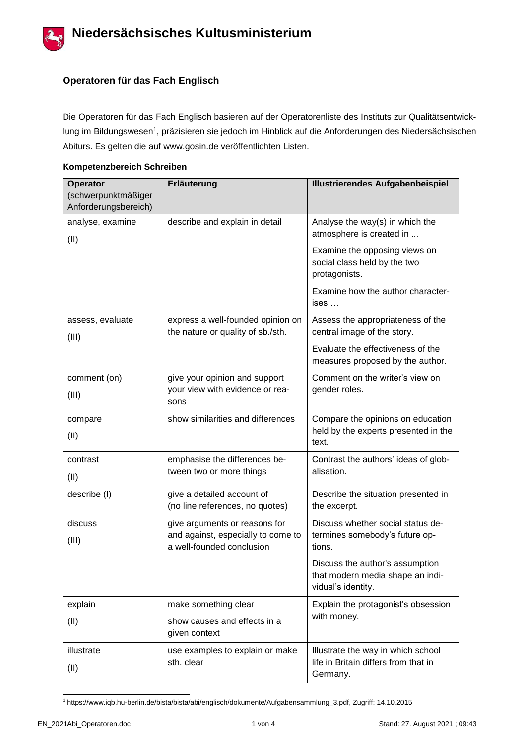

# **Operatoren für das Fach Englisch**

Die Operatoren für das Fach Englisch basieren auf der Operatorenliste des Instituts zur Qualitätsentwicklung im Bildungswesen1, präzisieren sie jedoch im Hinblick auf die Anforderungen des Niedersächsischen Abiturs. Es gelten die auf www.gosin.de veröffentlichten Listen.

## **Kompetenzbereich Schreiben**

| Operator                                    | Erläuterung                                                                                      | <b>Illustrierendes Aufgabenbeispiel</b>                                                   |
|---------------------------------------------|--------------------------------------------------------------------------------------------------|-------------------------------------------------------------------------------------------|
| (schwerpunktmäßiger<br>Anforderungsbereich) |                                                                                                  |                                                                                           |
| analyse, examine                            | describe and explain in detail                                                                   | Analyse the way(s) in which the<br>atmosphere is created in                               |
| (II)                                        |                                                                                                  | Examine the opposing views on<br>social class held by the two<br>protagonists.            |
|                                             |                                                                                                  | Examine how the author character-<br>ises                                                 |
| assess, evaluate<br>(III)                   | express a well-founded opinion on<br>the nature or quality of sb./sth.                           | Assess the appropriateness of the<br>central image of the story.                          |
|                                             |                                                                                                  | Evaluate the effectiveness of the<br>measures proposed by the author.                     |
| comment (on)<br>(III)                       | give your opinion and support<br>your view with evidence or rea-<br>sons                         | Comment on the writer's view on<br>gender roles.                                          |
| compare<br>(II)                             | show similarities and differences                                                                | Compare the opinions on education<br>held by the experts presented in the<br>text.        |
| contrast<br>(II)                            | emphasise the differences be-<br>tween two or more things                                        | Contrast the authors' ideas of glob-<br>alisation.                                        |
| describe (I)                                | give a detailed account of<br>(no line references, no quotes)                                    | Describe the situation presented in<br>the excerpt.                                       |
| discuss<br>(III)                            | give arguments or reasons for<br>and against, especially to come to<br>a well-founded conclusion | Discuss whether social status de-<br>termines somebody's future op-<br>tions.             |
|                                             |                                                                                                  | Discuss the author's assumption<br>that modern media shape an indi-<br>vidual's identity. |
| explain                                     | make something clear                                                                             | Explain the protagonist's obsession                                                       |
| (II)                                        | show causes and effects in a<br>given context                                                    | with money.                                                                               |
| illustrate                                  | use examples to explain or make                                                                  | Illustrate the way in which school                                                        |
| (II)                                        | sth. clear                                                                                       | life in Britain differs from that in<br>Germany.                                          |

<sup>1</sup> https://www.iqb.hu-berlin.de/bista/bista/abi/englisch/dokumente/Aufgabensammlung\_3.pdf, Zugriff: 14.10.2015

l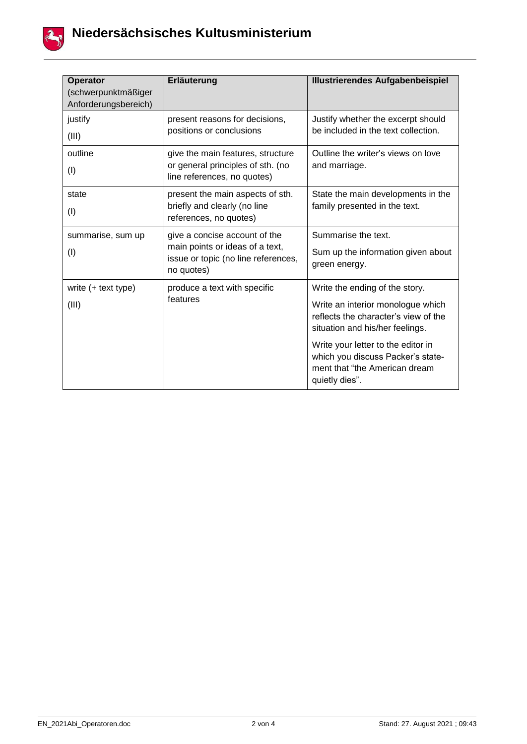

| <b>Operator</b><br>(schwerpunktmäßiger<br>Anforderungsbereich) | Erläuterung                                                                                                           | <b>Illustrierendes Aufgabenbeispiel</b>                                                                                                                                                                                                                                      |
|----------------------------------------------------------------|-----------------------------------------------------------------------------------------------------------------------|------------------------------------------------------------------------------------------------------------------------------------------------------------------------------------------------------------------------------------------------------------------------------|
| justify<br>(III)                                               | present reasons for decisions,<br>positions or conclusions                                                            | Justify whether the excerpt should<br>be included in the text collection.                                                                                                                                                                                                    |
| outline<br>(1)                                                 | give the main features, structure<br>or general principles of sth. (no<br>line references, no quotes)                 | Outline the writer's views on love<br>and marriage.                                                                                                                                                                                                                          |
| state<br>(1)                                                   | present the main aspects of sth.<br>briefly and clearly (no line<br>references, no quotes)                            | State the main developments in the<br>family presented in the text.                                                                                                                                                                                                          |
| summarise, sum up<br>(1)                                       | give a concise account of the<br>main points or ideas of a text,<br>issue or topic (no line references,<br>no quotes) | Summarise the text.<br>Sum up the information given about<br>green energy.                                                                                                                                                                                                   |
| write $(+$ text type)<br>(III)                                 | produce a text with specific<br>features                                                                              | Write the ending of the story.<br>Write an interior monologue which<br>reflects the character's view of the<br>situation and his/her feelings.<br>Write your letter to the editor in<br>which you discuss Packer's state-<br>ment that "the American dream<br>quietly dies". |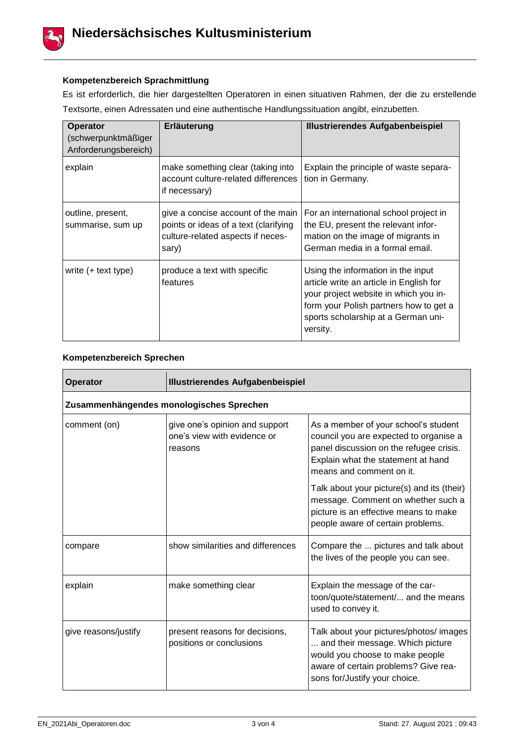

#### **Kompetenzbereich Sprachmittlung**

Es ist erforderlich, die hier dargestellten Operatoren in einen situativen Rahmen, der die zu erstellende Textsorte, einen Adressaten und eine authentische Handlungssituation angibt, einzubetten.

| Operator<br>(schwerpunktmäßiger<br>Anforderungsbereich) | Erläuterung                                                                                                               | <b>Illustrierendes Aufgabenbeispiel</b>                                                                                                                                                                             |
|---------------------------------------------------------|---------------------------------------------------------------------------------------------------------------------------|---------------------------------------------------------------------------------------------------------------------------------------------------------------------------------------------------------------------|
| explain                                                 | make something clear (taking into<br>account culture-related differences<br>if necessary)                                 | Explain the principle of waste separa-<br>tion in Germany.                                                                                                                                                          |
| outline, present,<br>summarise, sum up                  | give a concise account of the main<br>points or ideas of a text (clarifying<br>culture-related aspects if neces-<br>sary) | For an international school project in<br>the EU, present the relevant infor-<br>mation on the image of migrants in<br>German media in a formal email.                                                              |
| write $(+$ text type)                                   | produce a text with specific<br>features                                                                                  | Using the information in the input<br>article write an article in English for<br>your project website in which you in-<br>form your Polish partners how to get a<br>sports scholarship at a German uni-<br>versity. |

#### **Kompetenzbereich Sprechen**

| <b>Operator</b>                          | <b>Illustrierendes Aufgabenbeispiel</b>                                  |                                                                                                                                                                                             |
|------------------------------------------|--------------------------------------------------------------------------|---------------------------------------------------------------------------------------------------------------------------------------------------------------------------------------------|
| Zusammenhängendes monologisches Sprechen |                                                                          |                                                                                                                                                                                             |
| comment (on)                             | give one's opinion and support<br>one's view with evidence or<br>reasons | As a member of your school's student<br>council you are expected to organise a<br>panel discussion on the refugee crisis.<br>Explain what the statement at hand<br>means and comment on it. |
|                                          |                                                                          | Talk about your picture(s) and its (their)<br>message. Comment on whether such a<br>picture is an effective means to make<br>people aware of certain problems.                              |
| compare                                  | show similarities and differences                                        | Compare the  pictures and talk about<br>the lives of the people you can see.                                                                                                                |
| explain                                  | make something clear                                                     | Explain the message of the car-<br>toon/quote/statement/ and the means<br>used to convey it.                                                                                                |
| give reasons/justify                     | present reasons for decisions,<br>positions or conclusions               | Talk about your pictures/photos/ images<br>and their message. Which picture<br>would you choose to make people<br>aware of certain problems? Give rea-<br>sons for/Justify your choice.     |